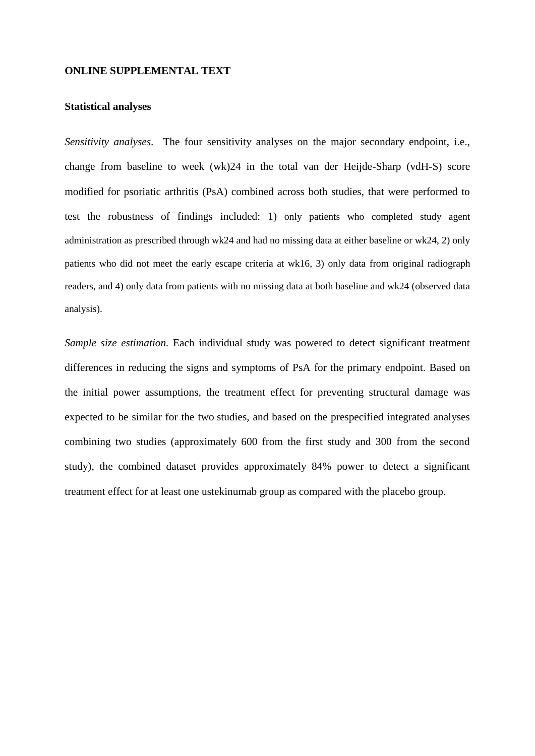## **ONLINE SUPPLEMENTAL TEXT**

## **Statistical analyses**

*Sensitivity analyses*. The four sensitivity analyses on the major secondary endpoint, i.e., change from baseline to week (wk)24 in the total van der Heijde-Sharp (vdH-S) score modified for psoriatic arthritis (PsA) combined across both studies, that were performed to test the robustness of findings included: 1) only patients who completed study agent administration as prescribed through wk24 and had no missing data at either baseline or wk24, 2) only patients who did not meet the early escape criteria at wk16, 3) only data from original radiograph readers, and 4) only data from patients with no missing data at both baseline and wk24 (observed data analysis).

*Sample size estimation.* Each individual study was powered to detect significant treatment differences in reducing the signs and symptoms of PsA for the primary endpoint. Based on the initial power assumptions, the treatment effect for preventing structural damage was expected to be similar for the two studies, and based on the prespecified integrated analyses combining two studies (approximately 600 from the first study and 300 from the second study), the combined dataset provides approximately 84% power to detect a significant treatment effect for at least one ustekinumab group as compared with the placebo group.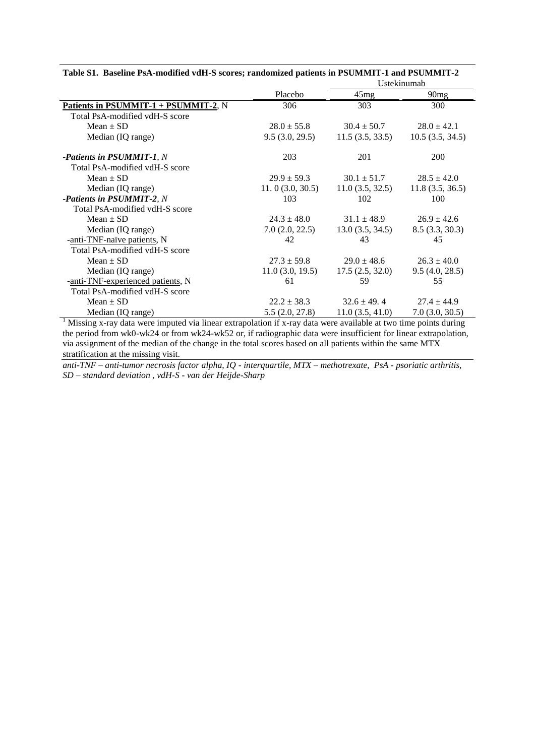| Tabic 51. Dascinic i s $\pi$ -modifica vari-5 scores, randomized patients in FSONINIFF-1 and FSONINIFF-2 |                 | Ustekinumab     |                 |  |  |
|----------------------------------------------------------------------------------------------------------|-----------------|-----------------|-----------------|--|--|
|                                                                                                          | Placebo         | 45mg            | 90mg            |  |  |
| Patients in PSUMMIT-1 + PSUMMIT-2, N                                                                     | 306             | 303             | 300             |  |  |
| Total PsA-modified vdH-S score                                                                           |                 |                 |                 |  |  |
| $Mean \pm SD$                                                                                            | $28.0 \pm 55.8$ | $30.4 \pm 50.7$ | $28.0 \pm 42.1$ |  |  |
| Median (IQ range)                                                                                        | 9.5(3.0, 29.5)  | 11.5(3.5, 33.5) | 10.5(3.5, 34.5) |  |  |
| <b>-Patients in PSUMMIT-1, N</b>                                                                         | 203             | 201             | 200             |  |  |
| Total PsA-modified vdH-S score                                                                           |                 |                 |                 |  |  |
| $Mean \pm SD$                                                                                            | $29.9 \pm 59.3$ | $30.1 \pm 51.7$ | $28.5 \pm 42.0$ |  |  |
| Median (IQ range)                                                                                        | 11.0(3.0, 30.5) | 11.0(3.5, 32.5) | 11.8(3.5, 36.5) |  |  |
| -Patients in PSUMMIT-2, N                                                                                | 103             | 102             | 100             |  |  |
| Total PsA-modified vdH-S score                                                                           |                 |                 |                 |  |  |
| $Mean \pm SD$                                                                                            | $24.3 \pm 48.0$ | $31.1 \pm 48.9$ | $26.9 \pm 42.6$ |  |  |
| Median (IQ range)                                                                                        | 7.0(2.0, 22.5)  | 13.0(3.5, 34.5) | 8.5(3.3, 30.3)  |  |  |
| -anti-TNF-naïve patients, N                                                                              | 42              | 43              | 45              |  |  |
| Total PsA-modified vdH-S score                                                                           |                 |                 |                 |  |  |
| $Mean \pm SD$                                                                                            | $27.3 \pm 59.8$ | $29.0 \pm 48.6$ | $26.3 \pm 40.0$ |  |  |
| Median (IQ range)                                                                                        | 11.0(3.0, 19.5) | 17.5(2.5, 32.0) | 9.5(4.0, 28.5)  |  |  |
| -anti-TNF-experienced patients, N                                                                        | 61              | 59              | 55              |  |  |
| Total PsA-modified vdH-S score                                                                           |                 |                 |                 |  |  |
| $Mean \pm SD$                                                                                            | $22.2 \pm 38.3$ | $32.6 \pm 49.4$ | $27.4 \pm 44.9$ |  |  |
| Median (IQ range)                                                                                        | 5.5(2.0, 27.8)  | 11.0(3.5, 41.0) | 7.0(3.0, 30.5)  |  |  |

**Table S1. Baseline PsA-modified vdH-S scores; randomized patients in PSUMMIT-1 and PSUMMIT-2**

<sup>1</sup> Missing x-ray data were imputed via linear extrapolation if x-ray data were available at two time points during the period from wk0-wk24 or from wk24-wk52 or, if radiographic data were insufficient for linear extrapolation, via assignment of the median of the change in the total scores based on all patients within the same MTX stratification at the missing visit.

*anti-TNF – anti-tumor necrosis factor alpha, IQ - interquartile, MTX – methotrexate, PsA - psoriatic arthritis, SD – standard deviation , vdH-S - van der Heijde-Sharp*